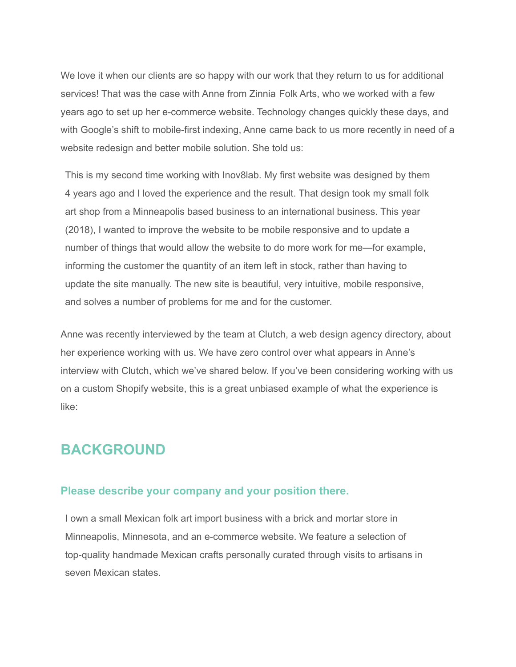We love it when our clients are so happy with our work that they return to us for additional services! That was the case with Anne from Zinnia Folk Arts, who we worked with a few years ago to set up her e-commerce website. Technology changes quickly these days, and with Google's shift to [mobile-first](https://webmasters.googleblog.com/2018/03/rolling-out-mobile-first-indexing.html) indexing, Anne came back to us more recently in need of a website redesign and better mobile solution. She told us:

This is my second time working with Inov8lab. My first website was designed by them 4 years ago and I loved the experience and the result. That design took my small folk art shop from a Minneapolis based business to an international business. This year (2018), I wanted to improve the website to be mobile responsive and to update a number of things that would allow the website to do more work for me—for example, informing the customer the quantity of an item left in stock, rather than having to update the site manually. The new site is beautiful, very intuitive, mobile responsive, and solves a number of problems for me and for the customer.

Anne was recently interviewed by the team at Clutch, a web design agency directory, about her experience working with us. We have zero control over what appears in [Anne's](https://clutch.co/profile/aeolidia#review-593916) [interview](https://clutch.co/profile/aeolidia#review-593916) with Clutch, which we've shared below. If you've been considering working with us on a custom Shopify [website](https://aeolidia.com/project-types/shopify-custom-design/), this is a great unbiased example of what the experience is like:

### **BACKGROUND**

#### **Please describe your company and your position there.**

I own a small Mexican folk art import business with a brick and mortar store in Minneapolis, Minnesota, and an e-commerce website. We feature a selection of top-quality handmade Mexican crafts personally curated through visits to artisans in seven Mexican states.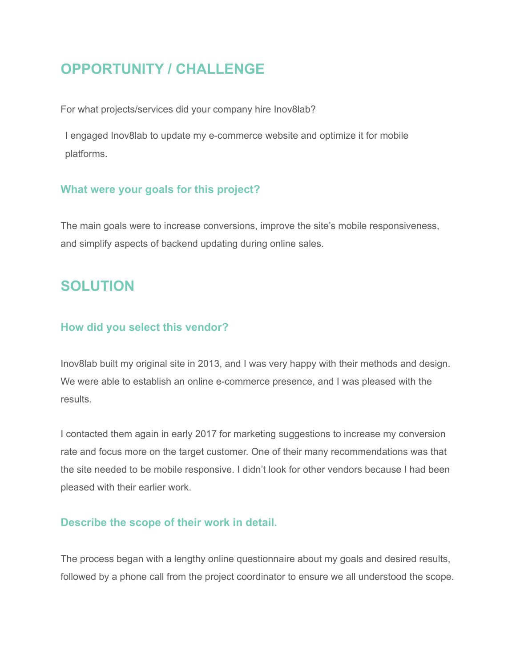# **OPPORTUNITY / CHALLENGE**

For what projects/services did your company hire Inov8lab?

I engaged Inov8lab to update my e-commerce website and optimize it for mobile platforms.

### **What were your goals for this project?**

The main goals were to increase conversions, improve the site's mobile responsiveness, and simplify aspects of backend updating during online sales.

## **SOLUTION**

### **How did you select this vendor?**

Inov8lab built my original site in 2013, and I was very happy with their methods and design. We were able to establish an online e-commerce presence, and I was pleased with the results.

I contacted them again in early 2017 for marketing [suggestions](https://aeolidia.com/project-types/marketing-strategy/) to increase my conversion rate and focus more on the target customer. One of their many recommendations was that the site needed to be mobile responsive. I didn't look for other vendors because I had been pleased with their earlier work.

### **Describe the scope of their work in detail.**

The process began with a lengthy online questionnaire about my goals and desired results, followed by a phone call from the project coordinator to ensure we all understood the scope.